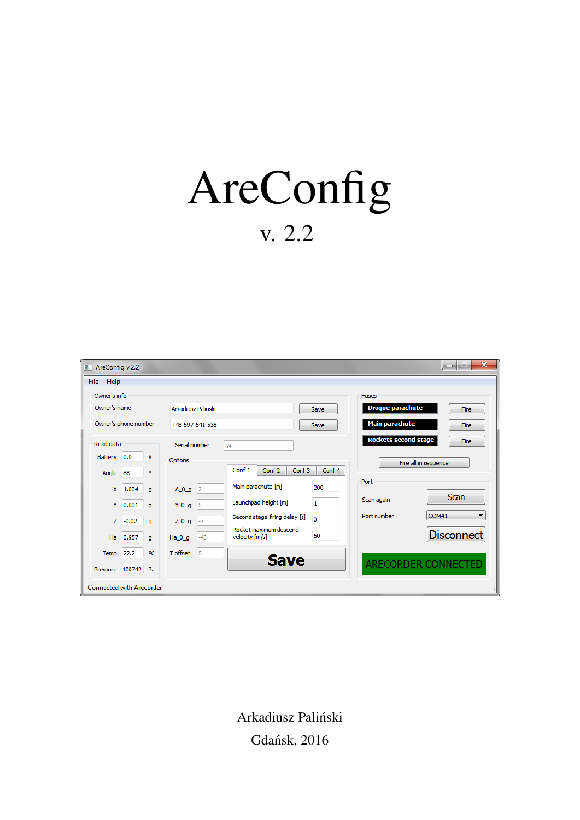# AreConfig v. 2.2

| $\blacksquare$ AreConfig v.2.2  |         |                |                                                       |                                                                        | $\mathbf{x}$<br>i m<br>$\blacksquare$   |
|---------------------------------|---------|----------------|-------------------------------------------------------|------------------------------------------------------------------------|-----------------------------------------|
| Help<br>File                    |         |                |                                                       |                                                                        |                                         |
| Owner's info<br>Owner's name    |         |                |                                                       |                                                                        | <b>Fuses</b><br><b>Drogue parachute</b> |
| Owner's phone number            |         |                | Arkadiusz Palinski<br>Save<br>+48 697-541-538<br>Save |                                                                        | Fire<br><b>Main parachute</b><br>Fire   |
| Read data                       |         |                | Serial number                                         | 59                                                                     | <b>Rockets second stage</b><br>Fire     |
| Battery 0.0                     |         | v              | Options                                               |                                                                        | Fire all in sequence                    |
| Angle 88                        |         | ۰              |                                                       | Conf <sub>1</sub><br>Conf 3<br>Conf <sub>2</sub><br>Conf 4             |                                         |
| x                               | 1.004   | q              | 2  و_A_O                                              | Main parachute [m]<br>200                                              | Port<br><b>Scan</b>                     |
| Y                               | 0.001   | $\blacksquare$ | 5<br>$Y_0 q$                                          | Launchpad height [m]<br>1                                              | Scan again                              |
| Z.                              | $-0.02$ | q              | $ -7$<br>$Z_0$ $q$                                    | Second stage firing delay [s]<br>$\mathbf 0$<br>Rocket maximum descend | COM41<br>Port number<br>▼               |
| Ha                              | 0.957   | $\blacksquare$ | $Ha_0_g$<br>$-43$                                     | 50<br>velocity [m/s]                                                   | <b>Disconnect</b>                       |
| Temp                            | 22.2    | °C             | T offset<br>15                                        | <b>Save</b>                                                            |                                         |
| Pressure 100742 Pa              |         |                |                                                       |                                                                        | <b>ARECORDER CONNECTED</b>              |
| <b>Connected with Arecorder</b> |         |                |                                                       |                                                                        |                                         |

Arkadiusz Paliński Gdańsk, 2016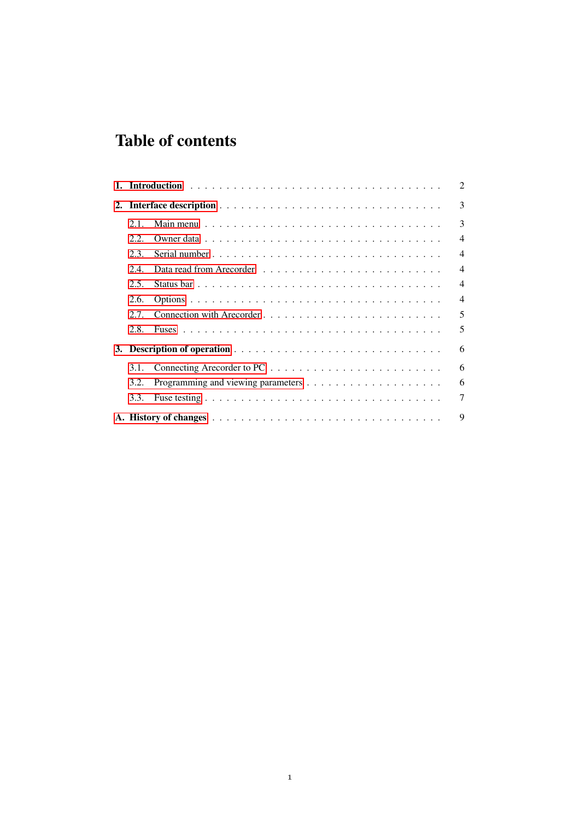## Table of contents

|    |      | 2              |  |  |  |  |  |  |
|----|------|----------------|--|--|--|--|--|--|
| 2. |      |                |  |  |  |  |  |  |
|    | 2.1. | 3              |  |  |  |  |  |  |
|    | 2.2. | $\overline{4}$ |  |  |  |  |  |  |
|    | 2.3. | 4              |  |  |  |  |  |  |
|    | 2.4. | 4              |  |  |  |  |  |  |
|    | 2.5. | 4              |  |  |  |  |  |  |
|    | 2.6. | 4              |  |  |  |  |  |  |
|    | 2.7. | 5              |  |  |  |  |  |  |
|    | 2.8. | 5              |  |  |  |  |  |  |
| 3. |      | 6              |  |  |  |  |  |  |
|    | 3.1. | 6              |  |  |  |  |  |  |
|    | 3.2. | 6              |  |  |  |  |  |  |
|    | 3.3. | 7              |  |  |  |  |  |  |
|    | 9    |                |  |  |  |  |  |  |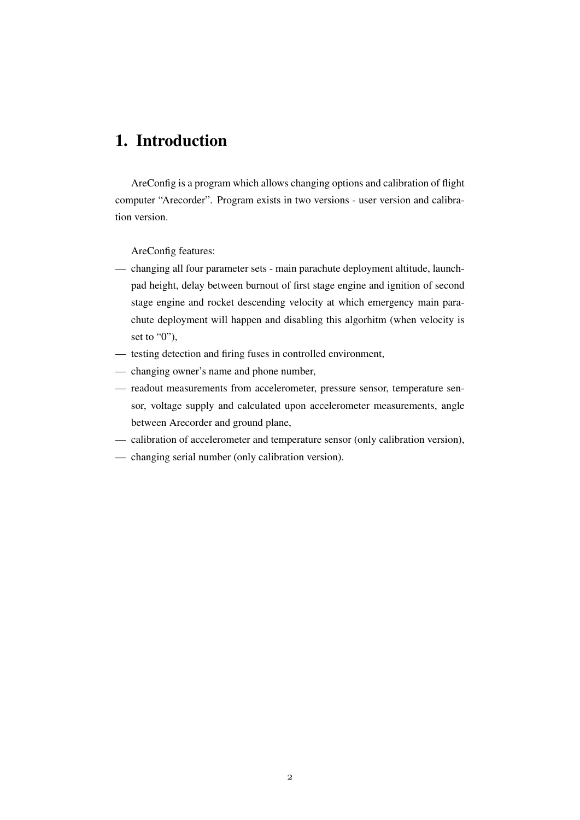## <span id="page-2-0"></span>1. Introduction

AreConfig is a program which allows changing options and calibration of flight computer "Arecorder". Program exists in two versions - user version and calibration version.

AreConfig features:

- changing all four parameter sets main parachute deployment altitude, launchpad height, delay between burnout of first stage engine and ignition of second stage engine and rocket descending velocity at which emergency main parachute deployment will happen and disabling this algorhitm (when velocity is set to  $"0"$ ),
- testing detection and firing fuses in controlled environment,
- changing owner's name and phone number,
- readout measurements from accelerometer, pressure sensor, temperature sensor, voltage supply and calculated upon accelerometer measurements, angle between Arecorder and ground plane,
- calibration of accelerometer and temperature sensor (only calibration version),
- changing serial number (only calibration version).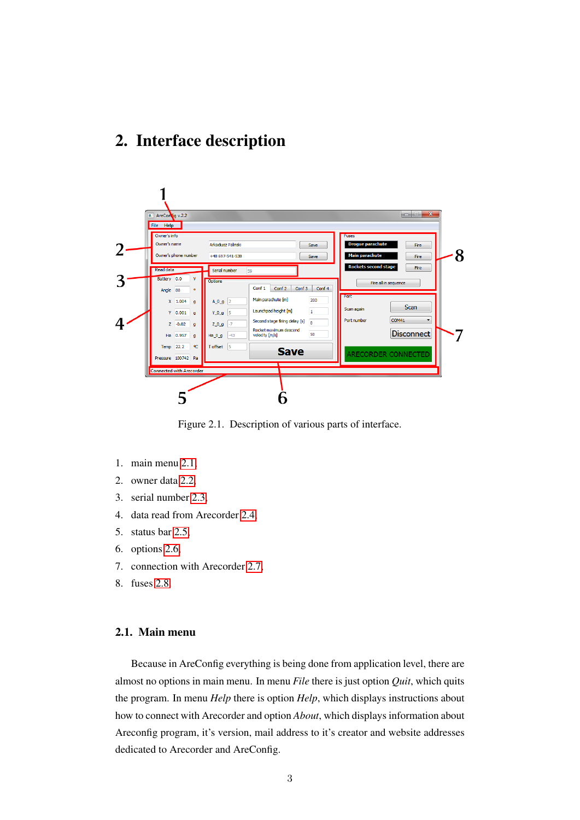## <span id="page-3-0"></span>2. Interface description



Figure 2.1. Description of various parts of interface.

- 1. main menu [2.1,](#page-3-1)
- 2. owner data [2.2,](#page-3-2)
- 3. serial number [2.3,](#page-4-0)
- 4. data read from Arecorder [2.4,](#page-4-1)
- 5. status bar [2.5,](#page-4-2)
- 6. options [2.6,](#page-4-3)
- 7. connection with Arecorder [2.7,](#page-4-4)
- <span id="page-3-1"></span>8. fuses [2.8.](#page-5-0)

#### 2.1. Main menu

<span id="page-3-2"></span>Because in AreConfig everything is being done from application level, there are almost no options in main menu. In menu *File* there is just option *Quit*, which quits the program. In menu *Help* there is option *Help*, which displays instructions about how to connect with Arecorder and option *About*, which displays information about Areconfig program, it's version, mail address to it's creator and website addresses dedicated to Arecorder and AreConfig.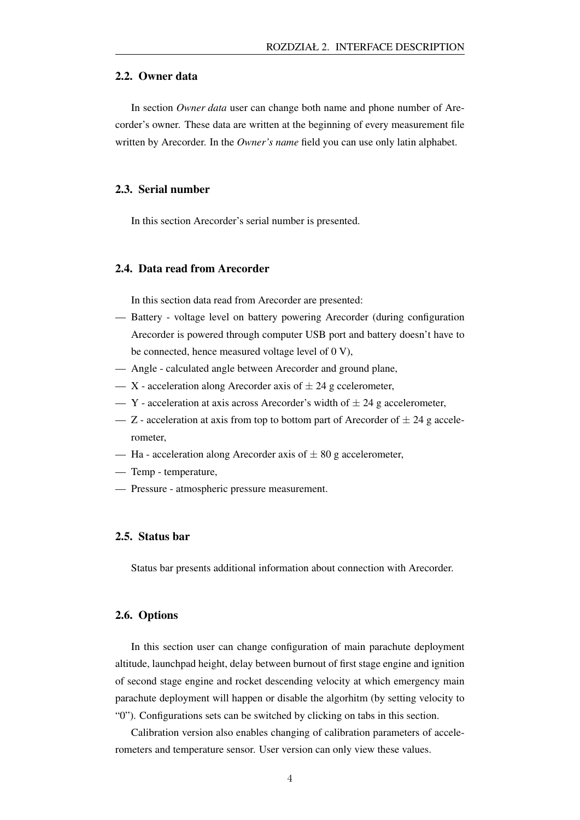#### 2.2. Owner data

In section *Owner data* user can change both name and phone number of Arecorder's owner. These data are written at the beginning of every measurement file written by Arecorder. In the *Owner's name* field you can use only latin alphabet.

#### <span id="page-4-0"></span>2.3. Serial number

<span id="page-4-1"></span>In this section Arecorder's serial number is presented.

#### 2.4. Data read from Arecorder

In this section data read from Arecorder are presented:

- Battery voltage level on battery powering Arecorder (during configuration Arecorder is powered through computer USB port and battery doesn't have to be connected, hence measured voltage level of 0 V),
- Angle calculated angle between Arecorder and ground plane,
- X acceleration along Arecorder axis of  $\pm 24$  g ccelerometer,
- $Y$  acceleration at axis across Arecorder's width of  $\pm 24$  g accelerometer,
- Z acceleration at axis from top to bottom part of Arecorder of  $\pm 24$  g accelerometer,
- Ha acceleration along Arecorder axis of  $\pm 80$  g accelerometer,
- Temp temperature,
- <span id="page-4-2"></span>— Pressure - atmospheric pressure measurement.

#### 2.5. Status bar

<span id="page-4-3"></span>Status bar presents additional information about connection with Arecorder.

#### 2.6. Options

In this section user can change configuration of main parachute deployment altitude, launchpad height, delay between burnout of first stage engine and ignition of second stage engine and rocket descending velocity at which emergency main parachute deployment will happen or disable the algorhitm (by setting velocity to "0"). Configurations sets can be switched by clicking on tabs in this section.

<span id="page-4-4"></span>Calibration version also enables changing of calibration parameters of accelerometers and temperature sensor. User version can only view these values.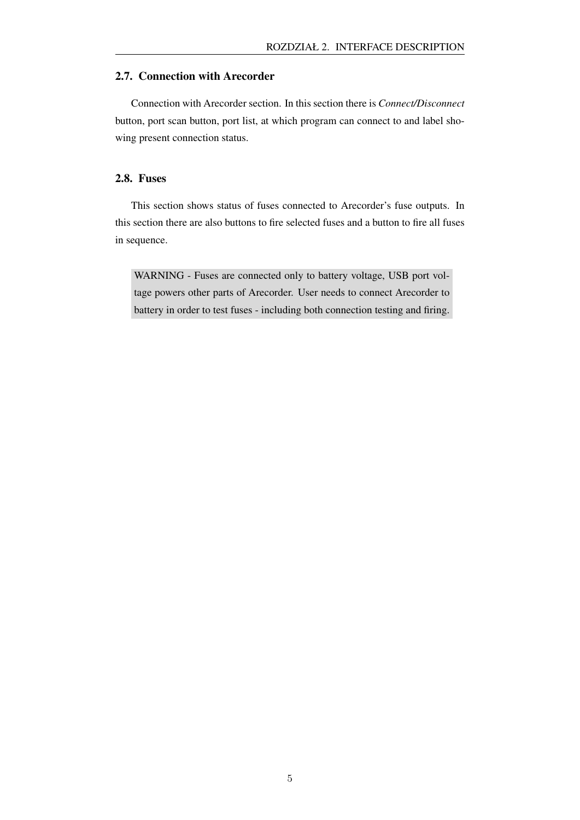#### 2.7. Connection with Arecorder

Connection with Arecorder section. In this section there is *Connect/Disconnect* button, port scan button, port list, at which program can connect to and label showing present connection status.

#### <span id="page-5-0"></span>2.8. Fuses

This section shows status of fuses connected to Arecorder's fuse outputs. In this section there are also buttons to fire selected fuses and a button to fire all fuses in sequence.

WARNING - Fuses are connected only to battery voltage, USB port voltage powers other parts of Arecorder. User needs to connect Arecorder to battery in order to test fuses - including both connection testing and firing.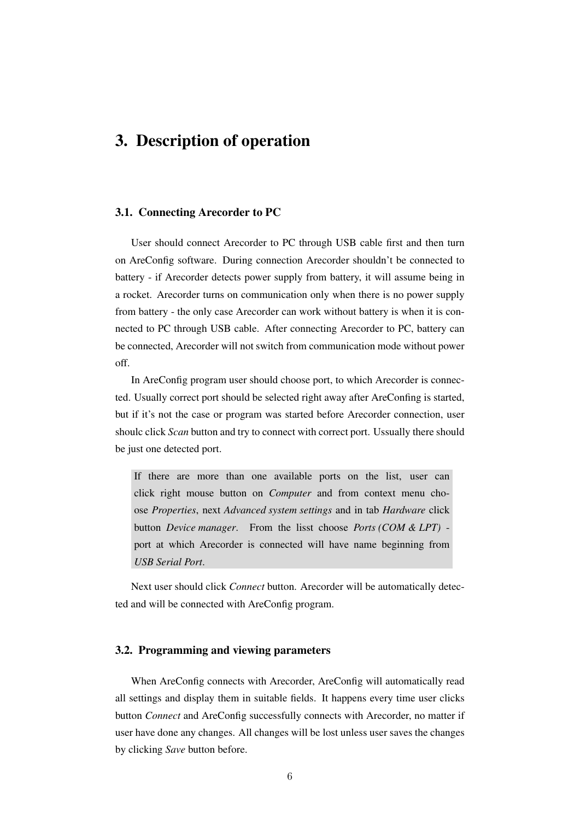### <span id="page-6-0"></span>3. Description of operation

#### <span id="page-6-1"></span>3.1. Connecting Arecorder to PC

User should connect Arecorder to PC through USB cable first and then turn on AreConfig software. During connection Arecorder shouldn't be connected to battery - if Arecorder detects power supply from battery, it will assume being in a rocket. Arecorder turns on communication only when there is no power supply from battery - the only case Arecorder can work without battery is when it is connected to PC through USB cable. After connecting Arecorder to PC, battery can be connected, Arecorder will not switch from communication mode without power off.

In AreConfig program user should choose port, to which Arecorder is connected. Usually correct port should be selected right away after AreConfing is started, but if it's not the case or program was started before Arecorder connection, user shoulc click *Scan* button and try to connect with correct port. Ussually there should be just one detected port.

If there are more than one available ports on the list, user can click right mouse button on *Computer* and from context menu choose *Properties*, next *Advanced system settings* and in tab *Hardware* click button *Device manager*. From the lisst choose *Ports (COM & LPT)* port at which Arecorder is connected will have name beginning from *USB Serial Port*.

<span id="page-6-2"></span>Next user should click *Connect* button. Arecorder will be automatically detected and will be connected with AreConfig program.

#### 3.2. Programming and viewing parameters

When AreConfig connects with Arecorder, AreConfig will automatically read all settings and display them in suitable fields. It happens every time user clicks button *Connect* and AreConfig successfully connects with Arecorder, no matter if user have done any changes. All changes will be lost unless user saves the changes by clicking *Save* button before.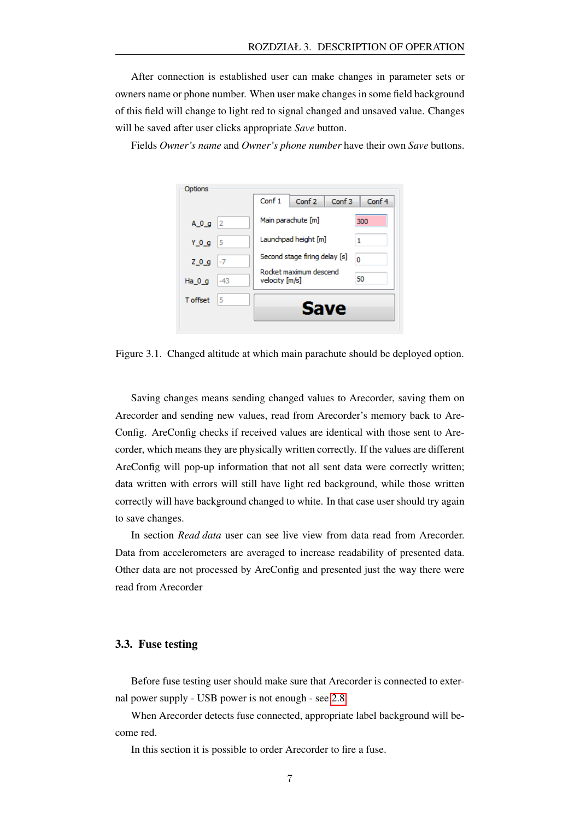After connection is established user can make changes in parameter sets or owners name or phone number. When user make changes in some field background of this field will change to light red to signal changed and unsaved value. Changes will be saved after user clicks appropriate *Save* button.

Fields *Owner's name* and *Owner's phone number* have their own *Save* buttons.

| Options         |               |                                          |                   |                   |        |
|-----------------|---------------|------------------------------------------|-------------------|-------------------|--------|
|                 |               | Conf 1                                   | Conf <sub>2</sub> | Conf <sub>3</sub> | Conf 4 |
| $A_0 g$         | $\frac{1}{2}$ | Main parachute [m]                       |                   |                   | 300    |
| $Y_0 q$         | 15            | Launchpad height [m]                     |                   |                   |        |
| $Z_0$ $g$       | $ -7$         | Second stage firing delay [s]            |                   |                   | Ō      |
| Ha $0q$         | $-43$         | Rocket maximum descend<br>velocity [m/s] |                   | 50                |        |
| <b>T</b> offset | 5             | Save                                     |                   |                   |        |
|                 |               |                                          |                   |                   |        |

Figure 3.1. Changed altitude at which main parachute should be deployed option.

Saving changes means sending changed values to Arecorder, saving them on Arecorder and sending new values, read from Arecorder's memory back to Are-Config. AreConfig checks if received values are identical with those sent to Arecorder, which means they are physically written correctly. If the values are different AreConfig will pop-up information that not all sent data were correctly written; data written with errors will still have light red background, while those written correctly will have background changed to white. In that case user should try again to save changes.

In section *Read data* user can see live view from data read from Arecorder. Data from accelerometers are averaged to increase readability of presented data. Other data are not processed by AreConfig and presented just the way there were read from Arecorder

#### <span id="page-7-0"></span>3.3. Fuse testing

Before fuse testing user should make sure that Arecorder is connected to external power supply - USB power is not enough - see [2.8.](#page-5-0)

When Arecorder detects fuse connected, appropriate label background will become red.

In this section it is possible to order Arecorder to fire a fuse.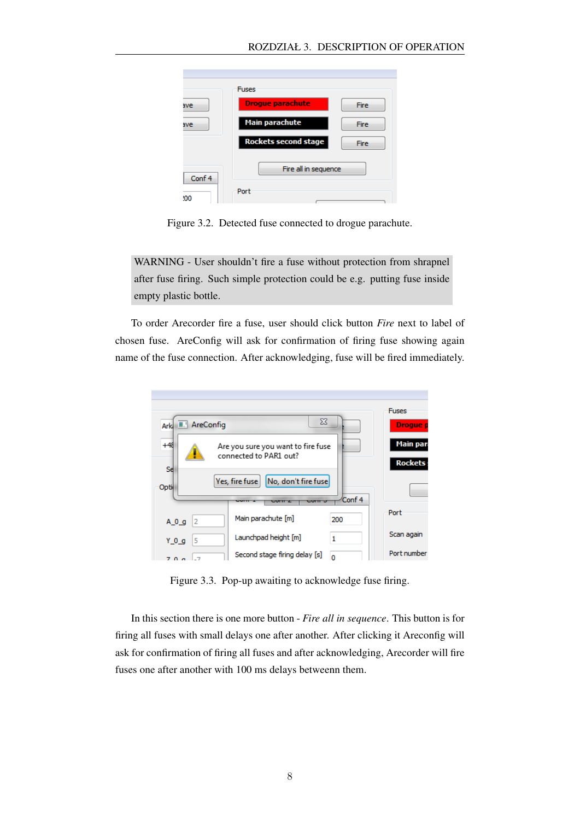|        | <b>Fuses</b>                |             |
|--------|-----------------------------|-------------|
| ave    | <b>Drogue parachute</b>     | <b>Fire</b> |
| ave    | <b>Main parachute</b>       | Fire        |
|        | <b>Rockets second stage</b> | Fire        |
| Conf 4 | Fire all in sequence        |             |
| סמי    | Port                        |             |

Figure 3.2. Detected fuse connected to drogue parachute.

WARNING - User shouldn't fire a fuse without protection from shrapnel after fuse firing. Such simple protection could be e.g. putting fuse inside empty plastic bottle.

To order Arecorder fire a fuse, user should click button *Fire* next to label of chosen fuse. AreConfig will ask for confirmation of firing fuse showing again name of the fuse connection. After acknowledging, fuse will be fired immediately.



Figure 3.3. Pop-up awaiting to acknowledge fuse firing.

In this section there is one more button - *Fire all in sequence*. This button is for firing all fuses with small delays one after another. After clicking it Areconfig will ask for confirmation of firing all fuses and after acknowledging, Arecorder will fire fuses one after another with 100 ms delays betweenn them.